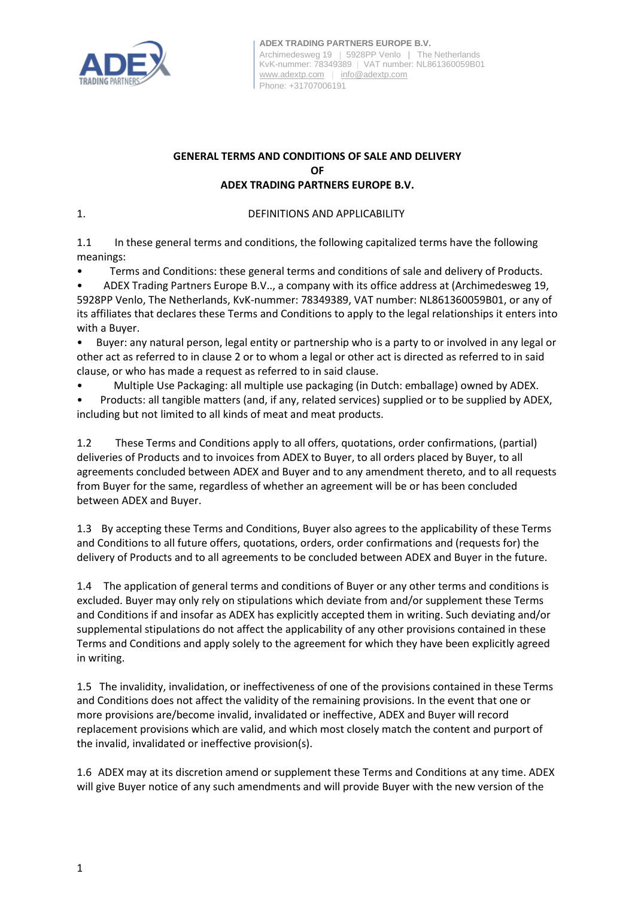

## **GENERAL TERMS AND CONDITIONS OF SALE AND DELIVERY OF ADEX TRADING PARTNERS EUROPE B.V.**

1. DEFINITIONS AND APPLICABILITY

1.1 In these general terms and conditions, the following capitalized terms have the following meanings:

• Terms and Conditions: these general terms and conditions of sale and delivery of Products.

• ADEX Trading Partners Europe B.V.., a company with its office address at (Archimedesweg 19, 5928PP Venlo, The Netherlands, KvK-nummer: 78349389, VAT number: NL861360059B01, or any of its affiliates that declares these Terms and Conditions to apply to the legal relationships it enters into with a Buyer.

• Buyer: any natural person, legal entity or partnership who is a party to or involved in any legal or other act as referred to in clause 2 or to whom a legal or other act is directed as referred to in said clause, or who has made a request as referred to in said clause.

• Multiple Use Packaging: all multiple use packaging (in Dutch: emballage) owned by ADEX.

• Products: all tangible matters (and, if any, related services) supplied or to be supplied by ADEX, including but not limited to all kinds of meat and meat products.

1.2 These Terms and Conditions apply to all offers, quotations, order confirmations, (partial) deliveries of Products and to invoices from ADEX to Buyer, to all orders placed by Buyer, to all agreements concluded between ADEX and Buyer and to any amendment thereto, and to all requests from Buyer for the same, regardless of whether an agreement will be or has been concluded between ADEX and Buyer.

1.3 By accepting these Terms and Conditions, Buyer also agrees to the applicability of these Terms and Conditions to all future offers, quotations, orders, order confirmations and (requests for) the delivery of Products and to all agreements to be concluded between ADEX and Buyer in the future.

1.4 The application of general terms and conditions of Buyer or any other terms and conditions is excluded. Buyer may only rely on stipulations which deviate from and/or supplement these Terms and Conditions if and insofar as ADEX has explicitly accepted them in writing. Such deviating and/or supplemental stipulations do not affect the applicability of any other provisions contained in these Terms and Conditions and apply solely to the agreement for which they have been explicitly agreed in writing.

1.5 The invalidity, invalidation, or ineffectiveness of one of the provisions contained in these Terms and Conditions does not affect the validity of the remaining provisions. In the event that one or more provisions are/become invalid, invalidated or ineffective, ADEX and Buyer will record replacement provisions which are valid, and which most closely match the content and purport of the invalid, invalidated or ineffective provision(s).

1.6 ADEX may at its discretion amend or supplement these Terms and Conditions at any time. ADEX will give Buyer notice of any such amendments and will provide Buyer with the new version of the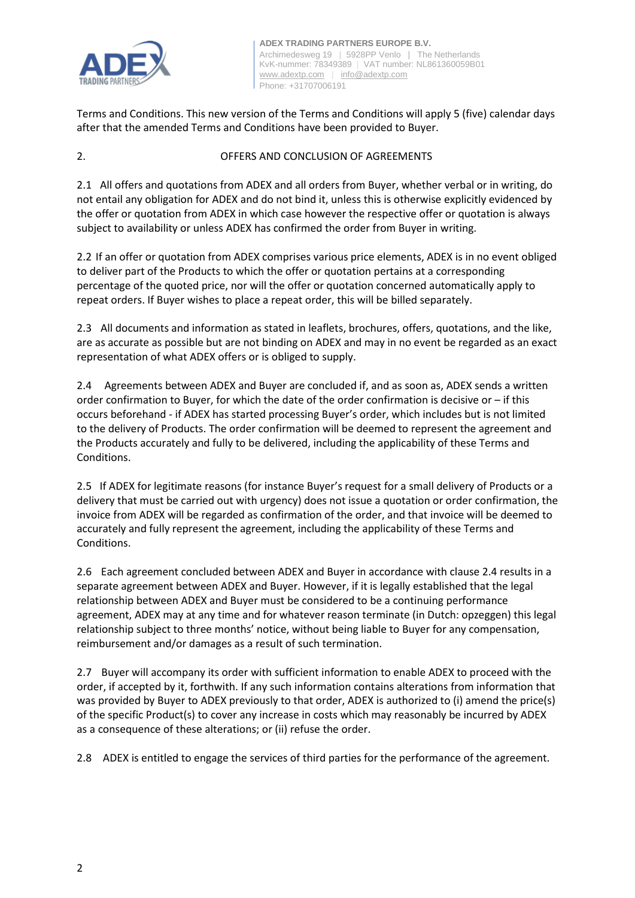

Terms and Conditions. This new version of the Terms and Conditions will apply 5 (five) calendar days after that the amended Terms and Conditions have been provided to Buyer.

# 2. OFFERS AND CONCLUSION OF AGREEMENTS

2.1 All offers and quotations from ADEX and all orders from Buyer, whether verbal or in writing, do not entail any obligation for ADEX and do not bind it, unless this is otherwise explicitly evidenced by the offer or quotation from ADEX in which case however the respective offer or quotation is always subject to availability or unless ADEX has confirmed the order from Buyer in writing.

2.2 If an offer or quotation from ADEX comprises various price elements, ADEX is in no event obliged to deliver part of the Products to which the offer or quotation pertains at a corresponding percentage of the quoted price, nor will the offer or quotation concerned automatically apply to repeat orders. If Buyer wishes to place a repeat order, this will be billed separately.

2.3 All documents and information as stated in leaflets, brochures, offers, quotations, and the like, are as accurate as possible but are not binding on ADEX and may in no event be regarded as an exact representation of what ADEX offers or is obliged to supply.

2.4 Agreements between ADEX and Buyer are concluded if, and as soon as, ADEX sends a written order confirmation to Buyer, for which the date of the order confirmation is decisive or – if this occurs beforehand - if ADEX has started processing Buyer's order, which includes but is not limited to the delivery of Products. The order confirmation will be deemed to represent the agreement and the Products accurately and fully to be delivered, including the applicability of these Terms and Conditions.

2.5 If ADEX for legitimate reasons (for instance Buyer's request for a small delivery of Products or a delivery that must be carried out with urgency) does not issue a quotation or order confirmation, the invoice from ADEX will be regarded as confirmation of the order, and that invoice will be deemed to accurately and fully represent the agreement, including the applicability of these Terms and Conditions.

2.6 Each agreement concluded between ADEX and Buyer in accordance with clause 2.4 results in a separate agreement between ADEX and Buyer. However, if it is legally established that the legal relationship between ADEX and Buyer must be considered to be a continuing performance agreement, ADEX may at any time and for whatever reason terminate (in Dutch: opzeggen) this legal relationship subject to three months' notice, without being liable to Buyer for any compensation, reimbursement and/or damages as a result of such termination.

2.7 Buyer will accompany its order with sufficient information to enable ADEX to proceed with the order, if accepted by it, forthwith. If any such information contains alterations from information that was provided by Buyer to ADEX previously to that order, ADEX is authorized to (i) amend the price(s) of the specific Product(s) to cover any increase in costs which may reasonably be incurred by ADEX as a consequence of these alterations; or (ii) refuse the order.

2.8 ADEX is entitled to engage the services of third parties for the performance of the agreement.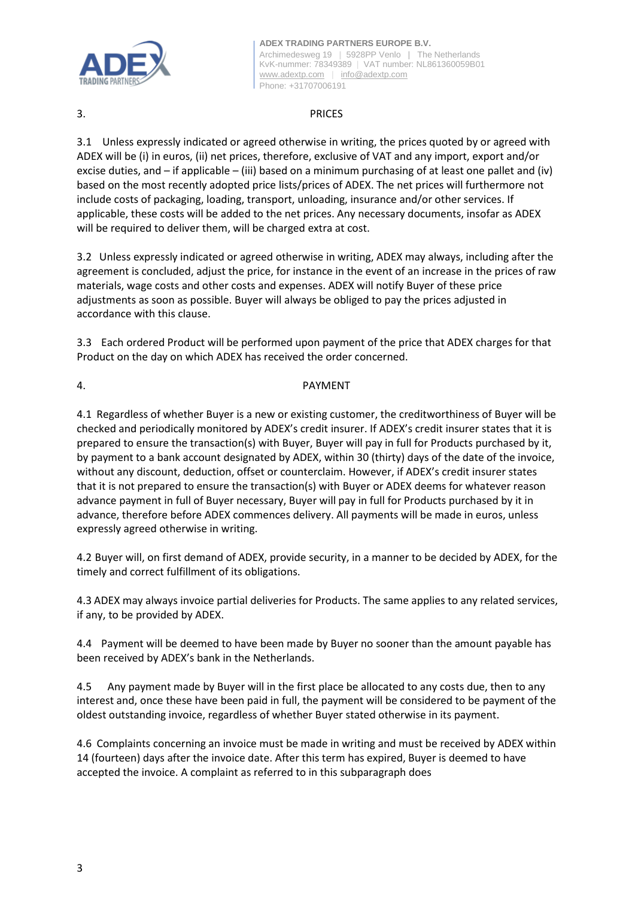

# 3. PRICES

3.1 Unless expressly indicated or agreed otherwise in writing, the prices quoted by or agreed with ADEX will be (i) in euros, (ii) net prices, therefore, exclusive of VAT and any import, export and/or excise duties, and – if applicable – (iii) based on a minimum purchasing of at least one pallet and (iv) based on the most recently adopted price lists/prices of ADEX. The net prices will furthermore not include costs of packaging, loading, transport, unloading, insurance and/or other services. If applicable, these costs will be added to the net prices. Any necessary documents, insofar as ADEX will be required to deliver them, will be charged extra at cost.

3.2 Unless expressly indicated or agreed otherwise in writing, ADEX may always, including after the agreement is concluded, adjust the price, for instance in the event of an increase in the prices of raw materials, wage costs and other costs and expenses. ADEX will notify Buyer of these price adjustments as soon as possible. Buyer will always be obliged to pay the prices adjusted in accordance with this clause.

3.3 Each ordered Product will be performed upon payment of the price that ADEX charges for that Product on the day on which ADEX has received the order concerned.

# 4. PAYMENT

4.1 Regardless of whether Buyer is a new or existing customer, the creditworthiness of Buyer will be checked and periodically monitored by ADEX's credit insurer. If ADEX's credit insurer states that it is prepared to ensure the transaction(s) with Buyer, Buyer will pay in full for Products purchased by it, by payment to a bank account designated by ADEX, within 30 (thirty) days of the date of the invoice, without any discount, deduction, offset or counterclaim. However, if ADEX's credit insurer states that it is not prepared to ensure the transaction(s) with Buyer or ADEX deems for whatever reason advance payment in full of Buyer necessary, Buyer will pay in full for Products purchased by it in advance, therefore before ADEX commences delivery. All payments will be made in euros, unless expressly agreed otherwise in writing.

4.2 Buyer will, on first demand of ADEX, provide security, in a manner to be decided by ADEX, for the timely and correct fulfillment of its obligations.

4.3 ADEX may always invoice partial deliveries for Products. The same applies to any related services, if any, to be provided by ADEX.

4.4 Payment will be deemed to have been made by Buyer no sooner than the amount payable has been received by ADEX's bank in the Netherlands.

4.5 Any payment made by Buyer will in the first place be allocated to any costs due, then to any interest and, once these have been paid in full, the payment will be considered to be payment of the oldest outstanding invoice, regardless of whether Buyer stated otherwise in its payment.

4.6 Complaints concerning an invoice must be made in writing and must be received by ADEX within 14 (fourteen) days after the invoice date. After this term has expired, Buyer is deemed to have accepted the invoice. A complaint as referred to in this subparagraph does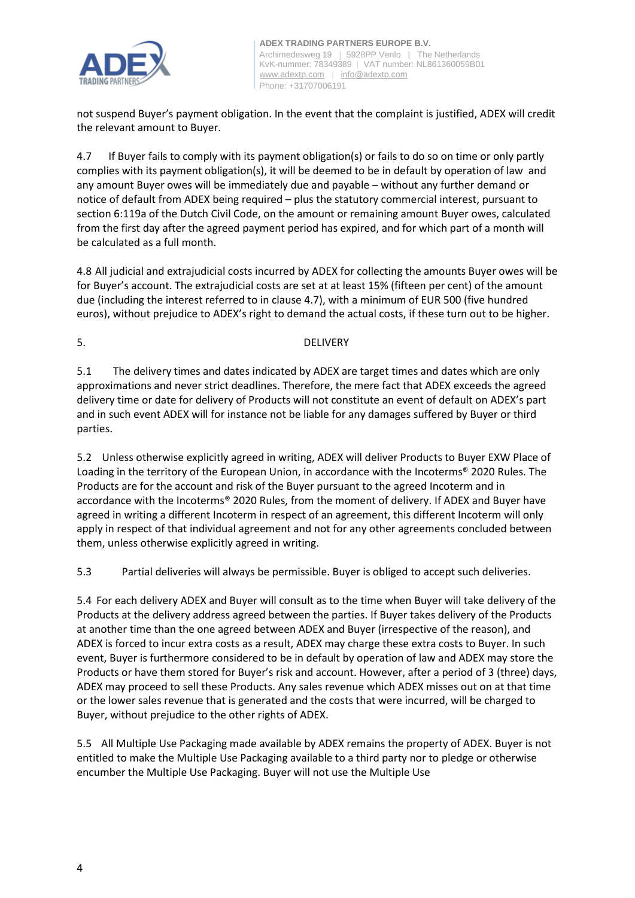

not suspend Buyer's payment obligation. In the event that the complaint is justified, ADEX will credit the relevant amount to Buyer.

4.7 If Buyer fails to comply with its payment obligation(s) or fails to do so on time or only partly complies with its payment obligation(s), it will be deemed to be in default by operation of law and any amount Buyer owes will be immediately due and payable – without any further demand or notice of default from ADEX being required – plus the statutory commercial interest, pursuant to section 6:119a of the Dutch Civil Code, on the amount or remaining amount Buyer owes, calculated from the first day after the agreed payment period has expired, and for which part of a month will be calculated as a full month.

4.8 All judicial and extrajudicial costs incurred by ADEX for collecting the amounts Buyer owes will be for Buyer's account. The extrajudicial costs are set at at least 15% (fifteen per cent) of the amount due (including the interest referred to in clause 4.7), with a minimum of EUR 500 (five hundred euros), without prejudice to ADEX's right to demand the actual costs, if these turn out to be higher.

5. DELIVERY

5.1 The delivery times and dates indicated by ADEX are target times and dates which are only approximations and never strict deadlines. Therefore, the mere fact that ADEX exceeds the agreed delivery time or date for delivery of Products will not constitute an event of default on ADEX's part and in such event ADEX will for instance not be liable for any damages suffered by Buyer or third parties.

5.2 Unless otherwise explicitly agreed in writing, ADEX will deliver Products to Buyer EXW Place of Loading in the territory of the European Union, in accordance with the Incoterms® 2020 Rules. The Products are for the account and risk of the Buyer pursuant to the agreed Incoterm and in accordance with the Incoterms® 2020 Rules, from the moment of delivery. If ADEX and Buyer have agreed in writing a different Incoterm in respect of an agreement, this different Incoterm will only apply in respect of that individual agreement and not for any other agreements concluded between them, unless otherwise explicitly agreed in writing.

5.3 Partial deliveries will always be permissible. Buyer is obliged to accept such deliveries.

5.4 For each delivery ADEX and Buyer will consult as to the time when Buyer will take delivery of the Products at the delivery address agreed between the parties. If Buyer takes delivery of the Products at another time than the one agreed between ADEX and Buyer (irrespective of the reason), and ADEX is forced to incur extra costs as a result, ADEX may charge these extra costs to Buyer. In such event, Buyer is furthermore considered to be in default by operation of law and ADEX may store the Products or have them stored for Buyer's risk and account. However, after a period of 3 (three) days, ADEX may proceed to sell these Products. Any sales revenue which ADEX misses out on at that time or the lower sales revenue that is generated and the costs that were incurred, will be charged to Buyer, without prejudice to the other rights of ADEX.

5.5 All Multiple Use Packaging made available by ADEX remains the property of ADEX. Buyer is not entitled to make the Multiple Use Packaging available to a third party nor to pledge or otherwise encumber the Multiple Use Packaging. Buyer will not use the Multiple Use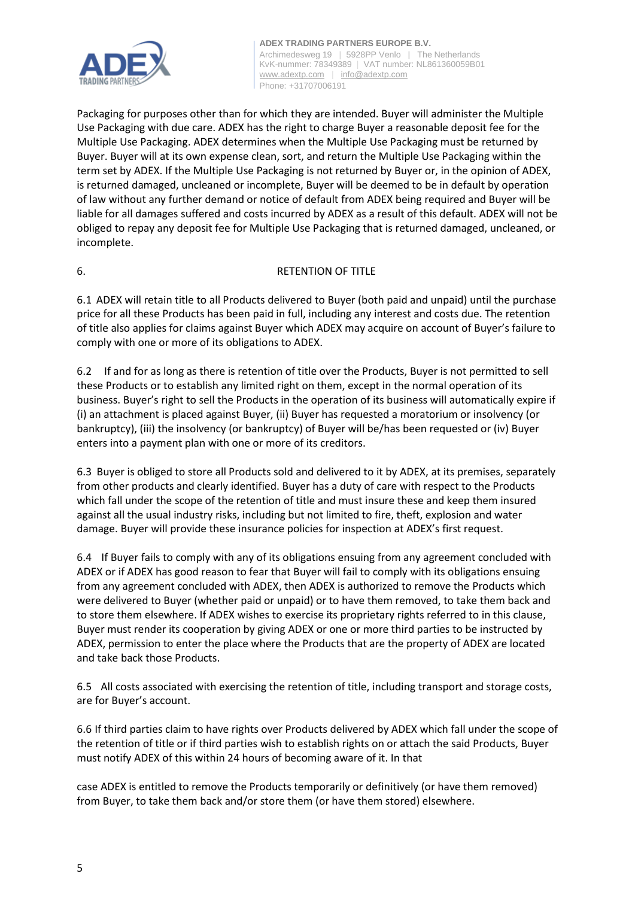

Packaging for purposes other than for which they are intended. Buyer will administer the Multiple Use Packaging with due care. ADEX has the right to charge Buyer a reasonable deposit fee for the Multiple Use Packaging. ADEX determines when the Multiple Use Packaging must be returned by Buyer. Buyer will at its own expense clean, sort, and return the Multiple Use Packaging within the term set by ADEX. If the Multiple Use Packaging is not returned by Buyer or, in the opinion of ADEX, is returned damaged, uncleaned or incomplete, Buyer will be deemed to be in default by operation of law without any further demand or notice of default from ADEX being required and Buyer will be liable for all damages suffered and costs incurred by ADEX as a result of this default. ADEX will not be obliged to repay any deposit fee for Multiple Use Packaging that is returned damaged, uncleaned, or incomplete.

# 6. RETENTION OF TITLE

6.1 ADEX will retain title to all Products delivered to Buyer (both paid and unpaid) until the purchase price for all these Products has been paid in full, including any interest and costs due. The retention of title also applies for claims against Buyer which ADEX may acquire on account of Buyer's failure to comply with one or more of its obligations to ADEX.

6.2 If and for as long as there is retention of title over the Products, Buyer is not permitted to sell these Products or to establish any limited right on them, except in the normal operation of its business. Buyer's right to sell the Products in the operation of its business will automatically expire if (i) an attachment is placed against Buyer, (ii) Buyer has requested a moratorium or insolvency (or bankruptcy), (iii) the insolvency (or bankruptcy) of Buyer will be/has been requested or (iv) Buyer enters into a payment plan with one or more of its creditors.

6.3 Buyer is obliged to store all Products sold and delivered to it by ADEX, at its premises, separately from other products and clearly identified. Buyer has a duty of care with respect to the Products which fall under the scope of the retention of title and must insure these and keep them insured against all the usual industry risks, including but not limited to fire, theft, explosion and water damage. Buyer will provide these insurance policies for inspection at ADEX's first request.

6.4 If Buyer fails to comply with any of its obligations ensuing from any agreement concluded with ADEX or if ADEX has good reason to fear that Buyer will fail to comply with its obligations ensuing from any agreement concluded with ADEX, then ADEX is authorized to remove the Products which were delivered to Buyer (whether paid or unpaid) or to have them removed, to take them back and to store them elsewhere. If ADEX wishes to exercise its proprietary rights referred to in this clause, Buyer must render its cooperation by giving ADEX or one or more third parties to be instructed by ADEX, permission to enter the place where the Products that are the property of ADEX are located and take back those Products.

6.5 All costs associated with exercising the retention of title, including transport and storage costs, are for Buyer's account.

6.6 If third parties claim to have rights over Products delivered by ADEX which fall under the scope of the retention of title or if third parties wish to establish rights on or attach the said Products, Buyer must notify ADEX of this within 24 hours of becoming aware of it. In that

case ADEX is entitled to remove the Products temporarily or definitively (or have them removed) from Buyer, to take them back and/or store them (or have them stored) elsewhere.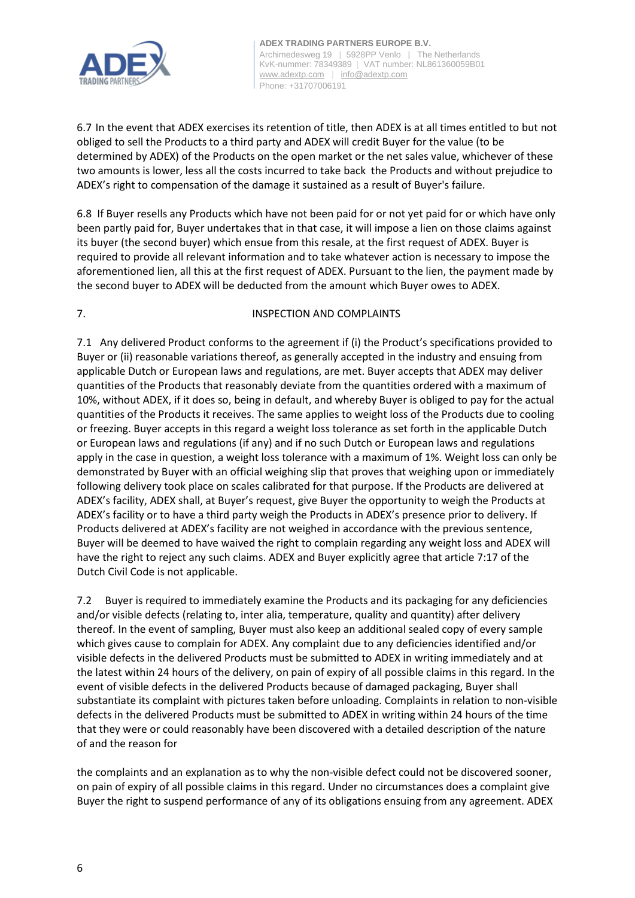

6.7 In the event that ADEX exercises its retention of title, then ADEX is at all times entitled to but not obliged to sell the Products to a third party and ADEX will credit Buyer for the value (to be determined by ADEX) of the Products on the open market or the net sales value, whichever of these two amounts is lower, less all the costs incurred to take back the Products and without prejudice to ADEX's right to compensation of the damage it sustained as a result of Buyer's failure.

6.8 If Buyer resells any Products which have not been paid for or not yet paid for or which have only been partly paid for, Buyer undertakes that in that case, it will impose a lien on those claims against its buyer (the second buyer) which ensue from this resale, at the first request of ADEX. Buyer is required to provide all relevant information and to take whatever action is necessary to impose the aforementioned lien, all this at the first request of ADEX. Pursuant to the lien, the payment made by the second buyer to ADEX will be deducted from the amount which Buyer owes to ADEX.

# 7. INSPECTION AND COMPLAINTS

7.1 Any delivered Product conforms to the agreement if (i) the Product's specifications provided to Buyer or (ii) reasonable variations thereof, as generally accepted in the industry and ensuing from applicable Dutch or European laws and regulations, are met. Buyer accepts that ADEX may deliver quantities of the Products that reasonably deviate from the quantities ordered with a maximum of 10%, without ADEX, if it does so, being in default, and whereby Buyer is obliged to pay for the actual quantities of the Products it receives. The same applies to weight loss of the Products due to cooling or freezing. Buyer accepts in this regard a weight loss tolerance as set forth in the applicable Dutch or European laws and regulations (if any) and if no such Dutch or European laws and regulations apply in the case in question, a weight loss tolerance with a maximum of 1%. Weight loss can only be demonstrated by Buyer with an official weighing slip that proves that weighing upon or immediately following delivery took place on scales calibrated for that purpose. If the Products are delivered at ADEX's facility, ADEX shall, at Buyer's request, give Buyer the opportunity to weigh the Products at ADEX's facility or to have a third party weigh the Products in ADEX's presence prior to delivery. If Products delivered at ADEX's facility are not weighed in accordance with the previous sentence, Buyer will be deemed to have waived the right to complain regarding any weight loss and ADEX will have the right to reject any such claims. ADEX and Buyer explicitly agree that article 7:17 of the Dutch Civil Code is not applicable.

7.2 Buyer is required to immediately examine the Products and its packaging for any deficiencies and/or visible defects (relating to, inter alia, temperature, quality and quantity) after delivery thereof. In the event of sampling, Buyer must also keep an additional sealed copy of every sample which gives cause to complain for ADEX. Any complaint due to any deficiencies identified and/or visible defects in the delivered Products must be submitted to ADEX in writing immediately and at the latest within 24 hours of the delivery, on pain of expiry of all possible claims in this regard. In the event of visible defects in the delivered Products because of damaged packaging, Buyer shall substantiate its complaint with pictures taken before unloading. Complaints in relation to non-visible defects in the delivered Products must be submitted to ADEX in writing within 24 hours of the time that they were or could reasonably have been discovered with a detailed description of the nature of and the reason for

the complaints and an explanation as to why the non-visible defect could not be discovered sooner, on pain of expiry of all possible claims in this regard. Under no circumstances does a complaint give Buyer the right to suspend performance of any of its obligations ensuing from any agreement. ADEX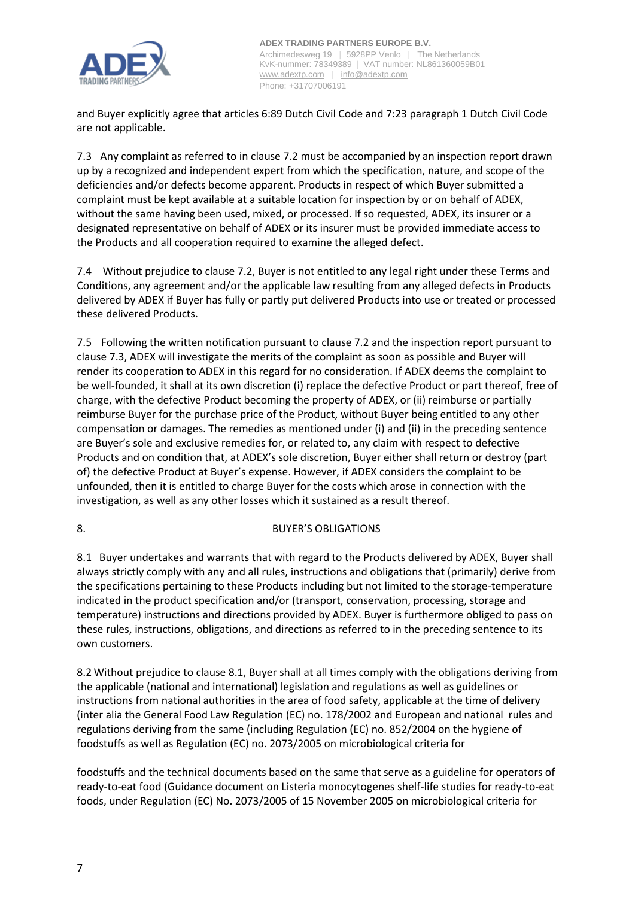

and Buyer explicitly agree that articles 6:89 Dutch Civil Code and 7:23 paragraph 1 Dutch Civil Code are not applicable.

7.3 Any complaint as referred to in clause 7.2 must be accompanied by an inspection report drawn up by a recognized and independent expert from which the specification, nature, and scope of the deficiencies and/or defects become apparent. Products in respect of which Buyer submitted a complaint must be kept available at a suitable location for inspection by or on behalf of ADEX, without the same having been used, mixed, or processed. If so requested, ADEX, its insurer or a designated representative on behalf of ADEX or its insurer must be provided immediate access to the Products and all cooperation required to examine the alleged defect.

7.4 Without prejudice to clause 7.2, Buyer is not entitled to any legal right under these Terms and Conditions, any agreement and/or the applicable law resulting from any alleged defects in Products delivered by ADEX if Buyer has fully or partly put delivered Products into use or treated or processed these delivered Products.

7.5 Following the written notification pursuant to clause 7.2 and the inspection report pursuant to clause 7.3, ADEX will investigate the merits of the complaint as soon as possible and Buyer will render its cooperation to ADEX in this regard for no consideration. If ADEX deems the complaint to be well-founded, it shall at its own discretion (i) replace the defective Product or part thereof, free of charge, with the defective Product becoming the property of ADEX, or (ii) reimburse or partially reimburse Buyer for the purchase price of the Product, without Buyer being entitled to any other compensation or damages. The remedies as mentioned under (i) and (ii) in the preceding sentence are Buyer's sole and exclusive remedies for, or related to, any claim with respect to defective Products and on condition that, at ADEX's sole discretion, Buyer either shall return or destroy (part of) the defective Product at Buyer's expense. However, if ADEX considers the complaint to be unfounded, then it is entitled to charge Buyer for the costs which arose in connection with the investigation, as well as any other losses which it sustained as a result thereof.

# 8. BUYER'S OBLIGATIONS

8.1 Buyer undertakes and warrants that with regard to the Products delivered by ADEX, Buyer shall always strictly comply with any and all rules, instructions and obligations that (primarily) derive from the specifications pertaining to these Products including but not limited to the storage-temperature indicated in the product specification and/or (transport, conservation, processing, storage and temperature) instructions and directions provided by ADEX. Buyer is furthermore obliged to pass on these rules, instructions, obligations, and directions as referred to in the preceding sentence to its own customers.

8.2 Without prejudice to clause 8.1, Buyer shall at all times comply with the obligations deriving from the applicable (national and international) legislation and regulations as well as guidelines or instructions from national authorities in the area of food safety, applicable at the time of delivery (inter alia the General Food Law Regulation (EC) no. 178/2002 and European and national rules and regulations deriving from the same (including Regulation (EC) no. 852/2004 on the hygiene of foodstuffs as well as Regulation (EC) no. 2073/2005 on microbiological criteria for

foodstuffs and the technical documents based on the same that serve as a guideline for operators of ready-to-eat food (Guidance document on Listeria monocytogenes shelf-life studies for ready-to-eat foods, under Regulation (EC) No. 2073/2005 of 15 November 2005 on microbiological criteria for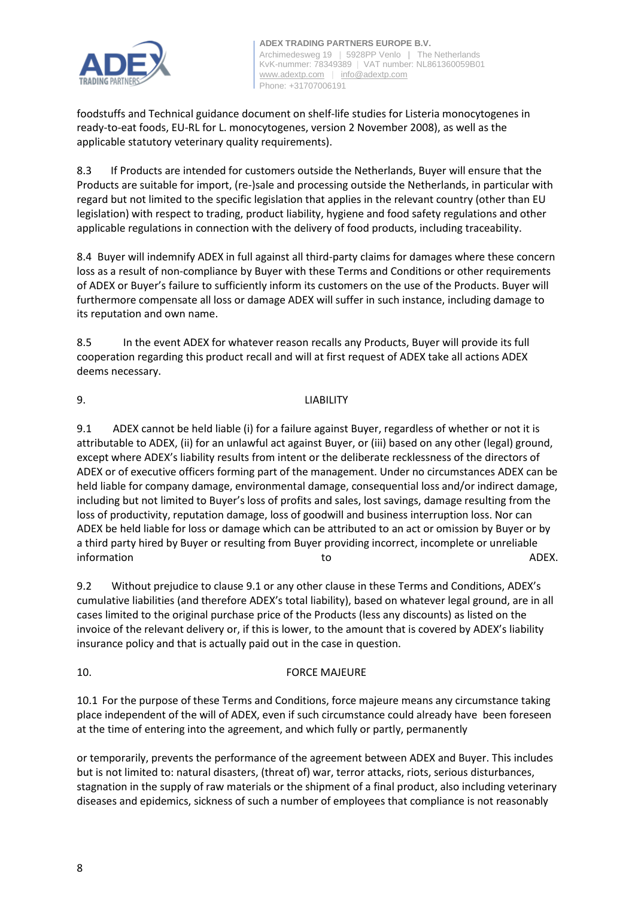

foodstuffs and Technical guidance document on shelf-life studies for Listeria monocytogenes in ready-to-eat foods, EU-RL for L. monocytogenes, version 2 November 2008), as well as the applicable statutory veterinary quality requirements).

8.3 If Products are intended for customers outside the Netherlands, Buyer will ensure that the Products are suitable for import, (re-)sale and processing outside the Netherlands, in particular with regard but not limited to the specific legislation that applies in the relevant country (other than EU legislation) with respect to trading, product liability, hygiene and food safety regulations and other applicable regulations in connection with the delivery of food products, including traceability.

8.4 Buyer will indemnify ADEX in full against all third-party claims for damages where these concern loss as a result of non-compliance by Buyer with these Terms and Conditions or other requirements of ADEX or Buyer's failure to sufficiently inform its customers on the use of the Products. Buyer will furthermore compensate all loss or damage ADEX will suffer in such instance, including damage to its reputation and own name.

8.5 In the event ADEX for whatever reason recalls any Products, Buyer will provide its full cooperation regarding this product recall and will at first request of ADEX take all actions ADEX deems necessary.

9. LIABILITY

9.1 ADEX cannot be held liable (i) for a failure against Buyer, regardless of whether or not it is attributable to ADEX, (ii) for an unlawful act against Buyer, or (iii) based on any other (legal) ground, except where ADEX's liability results from intent or the deliberate recklessness of the directors of ADEX or of executive officers forming part of the management. Under no circumstances ADEX can be held liable for company damage, environmental damage, consequential loss and/or indirect damage, including but not limited to Buyer's loss of profits and sales, lost savings, damage resulting from the loss of productivity, reputation damage, loss of goodwill and business interruption loss. Nor can ADEX be held liable for loss or damage which can be attributed to an act or omission by Buyer or by a third party hired by Buyer or resulting from Buyer providing incorrect, incomplete or unreliable information and a set of the contraction of the contraction of the contraction of the contraction of  $\lambda$ DEX.

9.2 Without prejudice to clause 9.1 or any other clause in these Terms and Conditions, ADEX's cumulative liabilities (and therefore ADEX's total liability), based on whatever legal ground, are in all cases limited to the original purchase price of the Products (less any discounts) as listed on the invoice of the relevant delivery or, if this is lower, to the amount that is covered by ADEX's liability insurance policy and that is actually paid out in the case in question.

10. FORCE MAJEURE

10.1 For the purpose of these Terms and Conditions, force majeure means any circumstance taking place independent of the will of ADEX, even if such circumstance could already have been foreseen at the time of entering into the agreement, and which fully or partly, permanently

or temporarily, prevents the performance of the agreement between ADEX and Buyer. This includes but is not limited to: natural disasters, (threat of) war, terror attacks, riots, serious disturbances, stagnation in the supply of raw materials or the shipment of a final product, also including veterinary diseases and epidemics, sickness of such a number of employees that compliance is not reasonably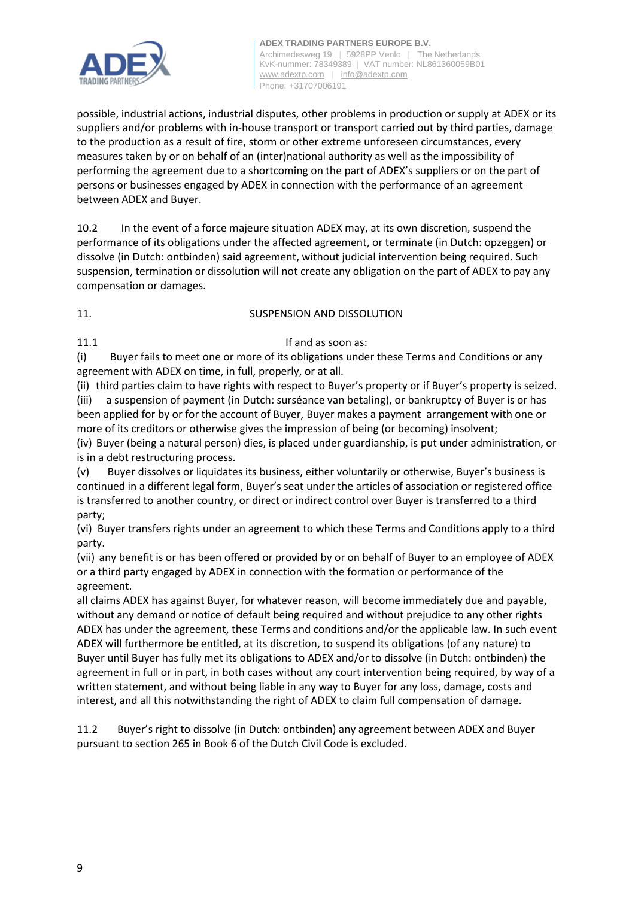

possible, industrial actions, industrial disputes, other problems in production or supply at ADEX or its suppliers and/or problems with in-house transport or transport carried out by third parties, damage to the production as a result of fire, storm or other extreme unforeseen circumstances, every measures taken by or on behalf of an (inter)national authority as well as the impossibility of performing the agreement due to a shortcoming on the part of ADEX's suppliers or on the part of persons or businesses engaged by ADEX in connection with the performance of an agreement between ADEX and Buyer.

10.2 In the event of a force majeure situation ADEX may, at its own discretion, suspend the performance of its obligations under the affected agreement, or terminate (in Dutch: opzeggen) or dissolve (in Dutch: ontbinden) said agreement, without judicial intervention being required. Such suspension, termination or dissolution will not create any obligation on the part of ADEX to pay any compensation or damages.

# 11. SUSPENSION AND DISSOLUTION

# 11.1 **If and as soon as:**

(i) Buyer fails to meet one or more of its obligations under these Terms and Conditions or any agreement with ADEX on time, in full, properly, or at all.

(ii) third parties claim to have rights with respect to Buyer's property or if Buyer's property is seized. (iii) a suspension of payment (in Dutch: surséance van betaling), or bankruptcy of Buyer is or has been applied for by or for the account of Buyer, Buyer makes a payment arrangement with one or more of its creditors or otherwise gives the impression of being (or becoming) insolvent;

(iv) Buyer (being a natural person) dies, is placed under guardianship, is put under administration, or is in a debt restructuring process.

(v) Buyer dissolves or liquidates its business, either voluntarily or otherwise, Buyer's business is continued in a different legal form, Buyer's seat under the articles of association or registered office is transferred to another country, or direct or indirect control over Buyer is transferred to a third party;

(vi) Buyer transfers rights under an agreement to which these Terms and Conditions apply to a third party.

(vii) any benefit is or has been offered or provided by or on behalf of Buyer to an employee of ADEX or a third party engaged by ADEX in connection with the formation or performance of the agreement.

all claims ADEX has against Buyer, for whatever reason, will become immediately due and payable, without any demand or notice of default being required and without prejudice to any other rights ADEX has under the agreement, these Terms and conditions and/or the applicable law. In such event ADEX will furthermore be entitled, at its discretion, to suspend its obligations (of any nature) to Buyer until Buyer has fully met its obligations to ADEX and/or to dissolve (in Dutch: ontbinden) the agreement in full or in part, in both cases without any court intervention being required, by way of a written statement, and without being liable in any way to Buyer for any loss, damage, costs and interest, and all this notwithstanding the right of ADEX to claim full compensation of damage.

11.2 Buyer's right to dissolve (in Dutch: ontbinden) any agreement between ADEX and Buyer pursuant to section 265 in Book 6 of the Dutch Civil Code is excluded.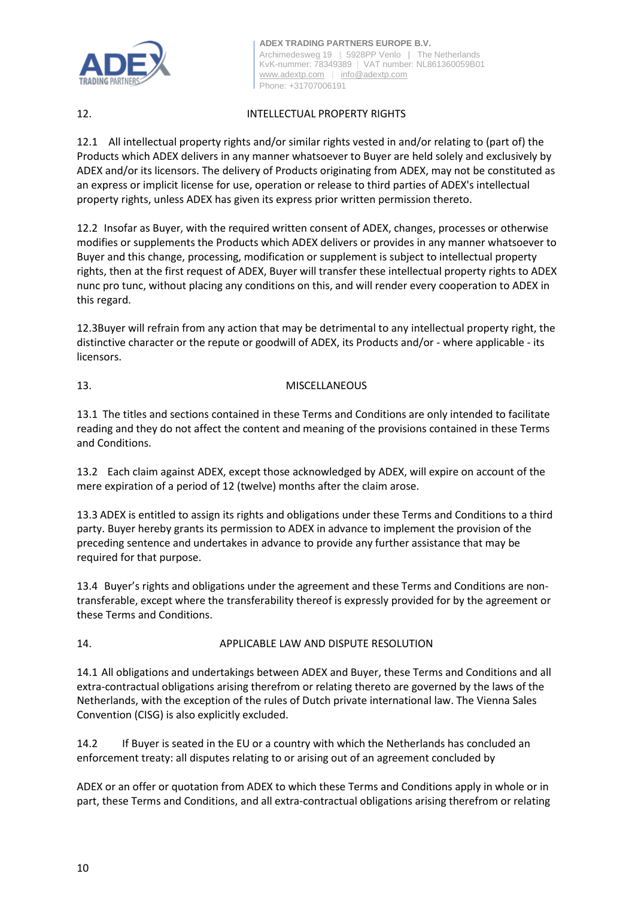

# 12. INTELLECTUAL PROPERTY RIGHTS

12.1 All intellectual property rights and/or similar rights vested in and/or relating to (part of) the Products which ADEX delivers in any manner whatsoever to Buyer are held solely and exclusively by ADEX and/or its licensors. The delivery of Products originating from ADEX, may not be constituted as an express or implicit license for use, operation or release to third parties of ADEX's intellectual property rights, unless ADEX has given its express prior written permission thereto.

12.2 Insofar as Buyer, with the required written consent of ADEX, changes, processes or otherwise modifies or supplements the Products which ADEX delivers or provides in any manner whatsoever to Buyer and this change, processing, modification or supplement is subject to intellectual property rights, then at the first request of ADEX, Buyer will transfer these intellectual property rights to ADEX nunc pro tunc, without placing any conditions on this, and will render every cooperation to ADEX in this regard.

12.3Buyer will refrain from any action that may be detrimental to any intellectual property right, the distinctive character or the repute or goodwill of ADEX, its Products and/or - where applicable - its licensors.

# 13. MISCELLANEOUS

13.1 The titles and sections contained in these Terms and Conditions are only intended to facilitate reading and they do not affect the content and meaning of the provisions contained in these Terms and Conditions.

13.2 Each claim against ADEX, except those acknowledged by ADEX, will expire on account of the mere expiration of a period of 12 (twelve) months after the claim arose.

13.3 ADEX is entitled to assign its rights and obligations under these Terms and Conditions to a third party. Buyer hereby grants its permission to ADEX in advance to implement the provision of the preceding sentence and undertakes in advance to provide any further assistance that may be required for that purpose.

13.4 Buyer's rights and obligations under the agreement and these Terms and Conditions are nontransferable, except where the transferability thereof is expressly provided for by the agreement or these Terms and Conditions.

# 14. APPLICABLE LAW AND DISPUTE RESOLUTION

14.1 All obligations and undertakings between ADEX and Buyer, these Terms and Conditions and all extra-contractual obligations arising therefrom or relating thereto are governed by the laws of the Netherlands, with the exception of the rules of Dutch private international law. The Vienna Sales Convention (CISG) is also explicitly excluded.

14.2 If Buyer is seated in the EU or a country with which the Netherlands has concluded an enforcement treaty: all disputes relating to or arising out of an agreement concluded by

ADEX or an offer or quotation from ADEX to which these Terms and Conditions apply in whole or in part, these Terms and Conditions, and all extra-contractual obligations arising therefrom or relating